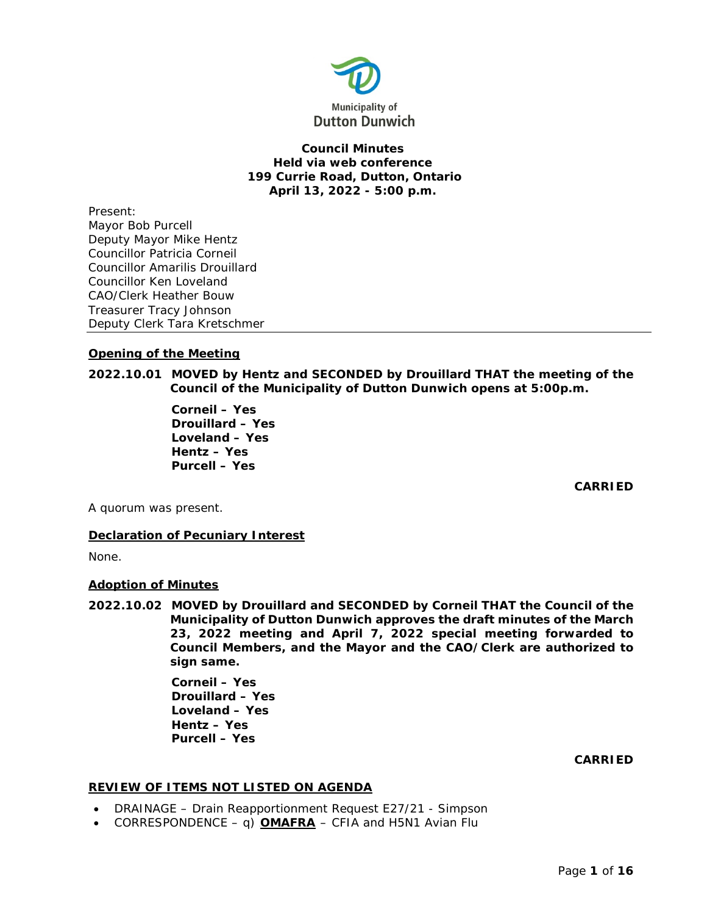

# **Council Minutes Held via web conference 199 Currie Road, Dutton, Ontario April 13, 2022 - 5:00 p.m.**

Present: Mayor Bob Purcell Deputy Mayor Mike Hentz Councillor Patricia Corneil Councillor Amarilis Drouillard Councillor Ken Loveland CAO/Clerk Heather Bouw Treasurer Tracy Johnson Deputy Clerk Tara Kretschmer

# **Opening of the Meeting**

**2022.10.01 MOVED by Hentz and SECONDED by Drouillard THAT the meeting of the Council of the Municipality of Dutton Dunwich opens at 5:00p.m.**

> **Corneil – Yes Drouillard – Yes Loveland – Yes Hentz – Yes Purcell – Yes**

> > **CARRIED**

A quorum was present.

# **Declaration of Pecuniary Interest**

None.

## **Adoption of Minutes**

**2022.10.02 MOVED by Drouillard and SECONDED by Corneil THAT the Council of the Municipality of Dutton Dunwich approves the draft minutes of the March 23, 2022 meeting and April 7, 2022 special meeting forwarded to Council Members, and the Mayor and the CAO/Clerk are authorized to sign same.**

> **Corneil – Yes Drouillard – Yes Loveland – Yes Hentz – Yes Purcell – Yes**

> > **CARRIED**

## **REVIEW OF ITEMS NOT LISTED ON AGENDA**

- DRAINAGE Drain Reapportionment Request E27/21 Simpson
- CORRESPONDENCE q)  $OMAFRA$  CFIA and H5N1 Avian Flu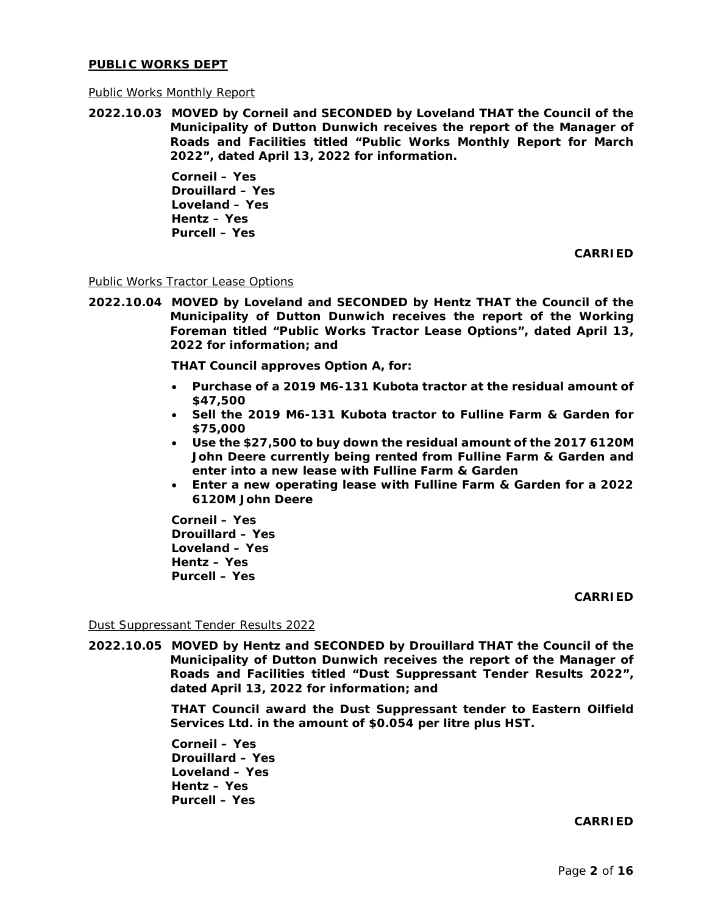#### **PUBLIC WORKS DEPT**

#### Public Works Monthly Report

**2022.10.03 MOVED by Corneil and SECONDED by Loveland THAT the Council of the Municipality of Dutton Dunwich receives the report of the Manager of Roads and Facilities titled "Public Works Monthly Report for March 2022", dated April 13, 2022 for information.**

> **Corneil – Yes Drouillard – Yes Loveland – Yes Hentz – Yes Purcell – Yes**

> > **CARRIED**

Public Works Tractor Lease Options

**2022.10.04 MOVED by Loveland and SECONDED by Hentz THAT the Council of the Municipality of Dutton Dunwich receives the report of the Working Foreman titled "Public Works Tractor Lease Options", dated April 13, 2022 for information; and**

**THAT Council approves Option A, for:**

- **Purchase of a 2019 M6-131 Kubota tractor at the residual amount of \$47,500**
- **Sell the 2019 M6-131 Kubota tractor to Fulline Farm & Garden for \$75,000**
- **Use the \$27,500 to buy down the residual amount of the 2017 6120M John Deere currently being rented from Fulline Farm & Garden and enter into a new lease with Fulline Farm & Garden**
- **Enter a new operating lease with Fulline Farm & Garden for a 2022 6120M John Deere**

**Corneil – Yes Drouillard – Yes Loveland – Yes Hentz – Yes Purcell – Yes**

**CARRIED**

Dust Suppressant Tender Results 2022

**2022.10.05 MOVED by Hentz and SECONDED by Drouillard THAT the Council of the Municipality of Dutton Dunwich receives the report of the Manager of Roads and Facilities titled "Dust Suppressant Tender Results 2022", dated April 13, 2022 for information; and**

> **THAT Council award the Dust Suppressant tender to Eastern Oilfield Services Ltd. in the amount of \$0.054 per litre plus HST.**

**Corneil – Yes Drouillard – Yes Loveland – Yes Hentz – Yes Purcell – Yes** 

**CARRIED**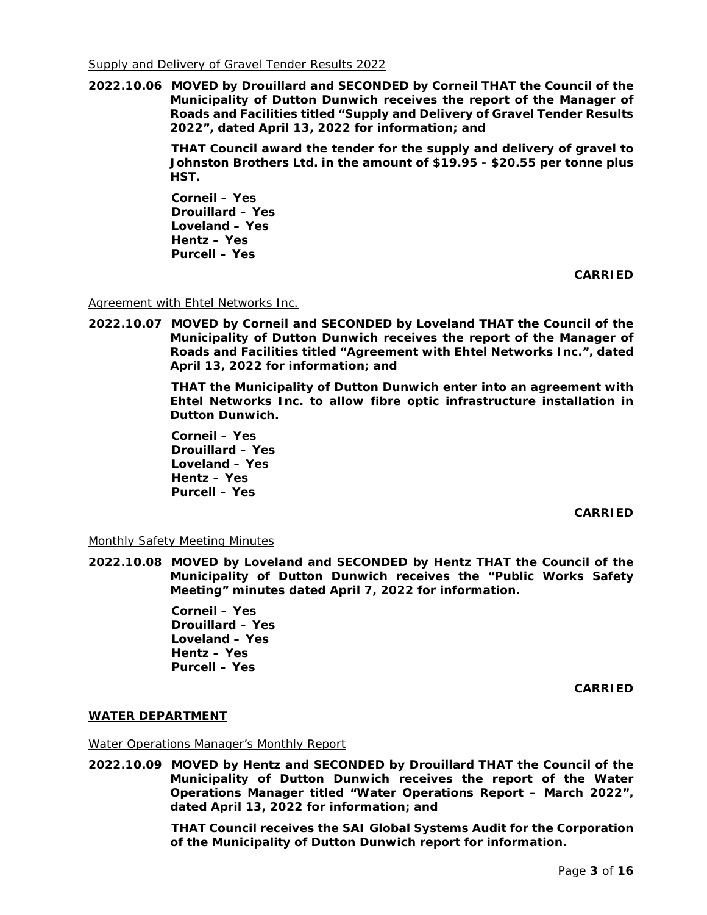**2022.10.06 MOVED by Drouillard and SECONDED by Corneil THAT the Council of the Municipality of Dutton Dunwich receives the report of the Manager of Roads and Facilities titled "Supply and Delivery of Gravel Tender Results 2022", dated April 13, 2022 for information; and**

> **THAT Council award the tender for the supply and delivery of gravel to Johnston Brothers Ltd. in the amount of \$19.95 - \$20.55 per tonne plus HST.**

**Corneil – Yes Drouillard – Yes Loveland – Yes Hentz – Yes Purcell – Yes** 

**CARRIED**

Agreement with Ehtel Networks Inc.

**2022.10.07 MOVED by Corneil and SECONDED by Loveland THAT the Council of the Municipality of Dutton Dunwich receives the report of the Manager of Roads and Facilities titled "Agreement with Ehtel Networks Inc.", dated April 13, 2022 for information; and**

> **THAT the Municipality of Dutton Dunwich enter into an agreement with Ehtel Networks Inc. to allow fibre optic infrastructure installation in Dutton Dunwich.**

**Corneil – Yes Drouillard – Yes Loveland – Yes Hentz – Yes Purcell – Yes** 

**CARRIED**

# Monthly Safety Meeting Minutes

**2022.10.08 MOVED by Loveland and SECONDED by Hentz THAT the Council of the Municipality of Dutton Dunwich receives the "Public Works Safety Meeting" minutes dated April 7, 2022 for information.** 

> **Corneil – Yes Drouillard – Yes Loveland – Yes Hentz – Yes Purcell – Yes**

> > **CARRIED**

# **WATER DEPARTMENT**

Water Operations Manager's Monthly Report

**2022.10.09 MOVED by Hentz and SECONDED by Drouillard THAT the Council of the Municipality of Dutton Dunwich receives the report of the Water Operations Manager titled "Water Operations Report – March 2022", dated April 13, 2022 for information; and**

> **THAT Council receives the SAI Global Systems Audit for the Corporation of the Municipality of Dutton Dunwich report for information.**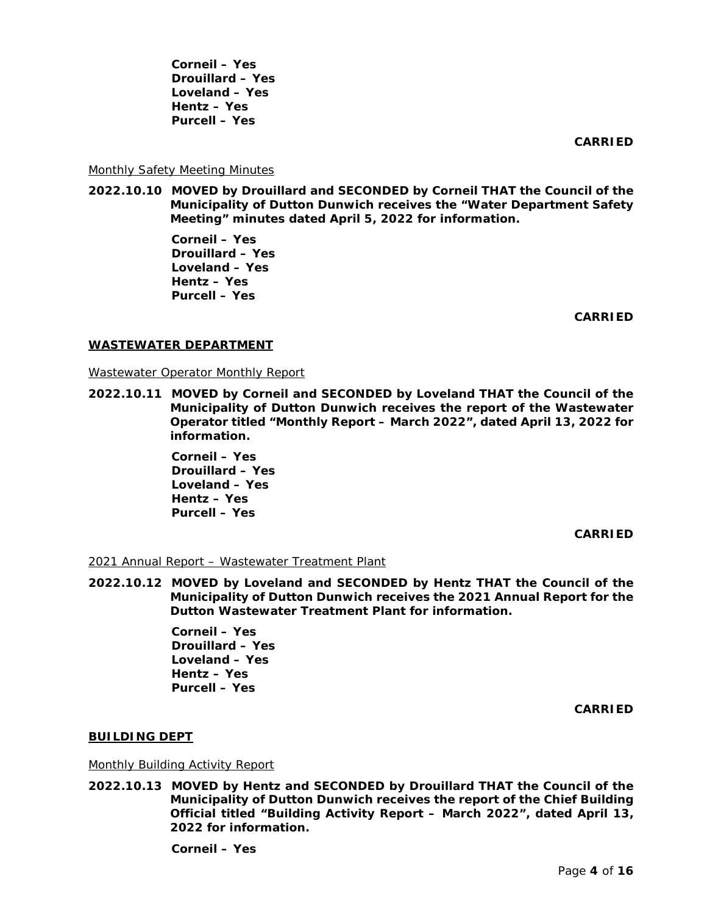**Corneil – Yes Drouillard – Yes Loveland – Yes Hentz – Yes Purcell – Yes** 

**CARRIED**

## Monthly Safety Meeting Minutes

**2022.10.10 MOVED by Drouillard and SECONDED by Corneil THAT the Council of the Municipality of Dutton Dunwich receives the "Water Department Safety Meeting" minutes dated April 5, 2022 for information.**

> **Corneil – Yes Drouillard – Yes Loveland – Yes Hentz – Yes Purcell – Yes**

> > **CARRIED**

#### **WASTEWATER DEPARTMENT**

Wastewater Operator Monthly Report

**2022.10.11 MOVED by Corneil and SECONDED by Loveland THAT the Council of the Municipality of Dutton Dunwich receives the report of the Wastewater Operator titled "Monthly Report – March 2022", dated April 13, 2022 for information.** 

> **Corneil – Yes Drouillard – Yes Loveland – Yes Hentz – Yes Purcell – Yes**

> > **CARRIED**

## 2021 Annual Report – Wastewater Treatment Plant

**2022.10.12 MOVED by Loveland and SECONDED by Hentz THAT the Council of the Municipality of Dutton Dunwich receives the 2021 Annual Report for the Dutton Wastewater Treatment Plant for information.** 

> **Corneil – Yes Drouillard – Yes Loveland – Yes Hentz – Yes Purcell – Yes**

> > **CARRIED**

## **BUILDING DEPT**

Monthly Building Activity Report

**2022.10.13 MOVED by Hentz and SECONDED by Drouillard THAT the Council of the Municipality of Dutton Dunwich receives the report of the Chief Building Official titled "Building Activity Report – March 2022", dated April 13, 2022 for information.**

**Corneil – Yes**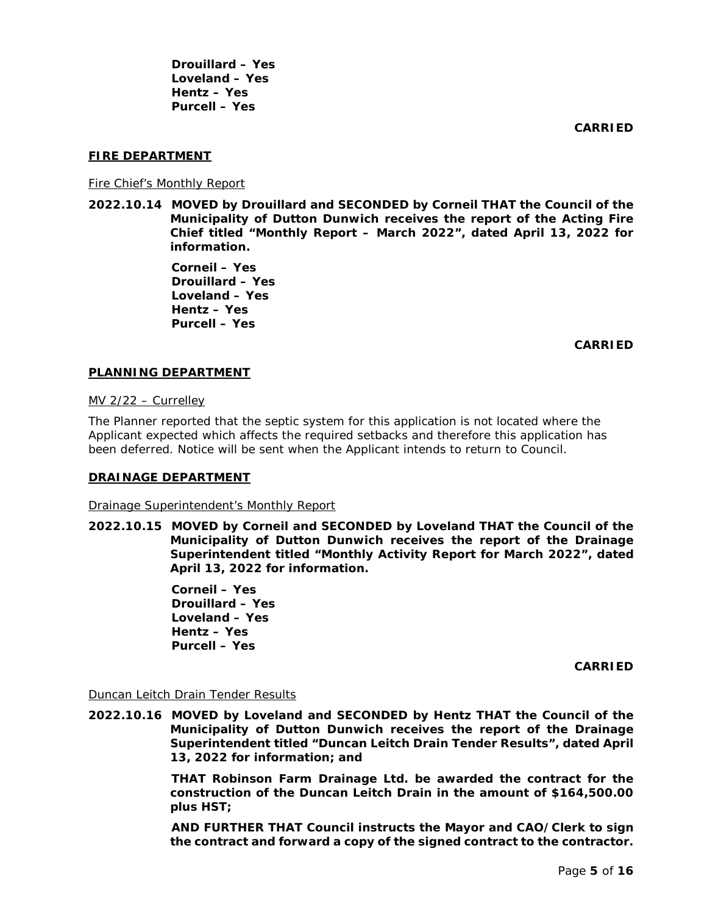**Drouillard – Yes Loveland – Yes Hentz – Yes Purcell – Yes** 

**CARRIED**

## **FIRE DEPARTMENT**

Fire Chief's Monthly Report

**2022.10.14 MOVED by Drouillard and SECONDED by Corneil THAT the Council of the Municipality of Dutton Dunwich receives the report of the Acting Fire Chief titled "Monthly Report – March 2022", dated April 13, 2022 for information.** 

> **Corneil – Yes Drouillard – Yes Loveland – Yes Hentz – Yes Purcell – Yes**

> > **CARRIED**

#### **PLANNING DEPARTMENT**

MV 2/22 – Currelley

The Planner reported that the septic system for this application is not located where the Applicant expected which affects the required setbacks and therefore this application has been deferred. Notice will be sent when the Applicant intends to return to Council.

#### **DRAINAGE DEPARTMENT**

Drainage Superintendent's Monthly Report

**2022.10.15 MOVED by Corneil and SECONDED by Loveland THAT the Council of the Municipality of Dutton Dunwich receives the report of the Drainage Superintendent titled "Monthly Activity Report for March 2022", dated April 13, 2022 for information.** 

> **Corneil – Yes Drouillard – Yes Loveland – Yes Hentz – Yes Purcell – Yes**

> > **CARRIED**

#### Duncan Leitch Drain Tender Results

**2022.10.16 MOVED by Loveland and SECONDED by Hentz THAT the Council of the Municipality of Dutton Dunwich receives the report of the Drainage Superintendent titled "Duncan Leitch Drain Tender Results", dated April 13, 2022 for information; and**

> **THAT Robinson Farm Drainage Ltd. be awarded the contract for the construction of the Duncan Leitch Drain in the amount of \$164,500.00 plus HST;**

> **AND FURTHER THAT Council instructs the Mayor and CAO/Clerk to sign the contract and forward a copy of the signed contract to the contractor.**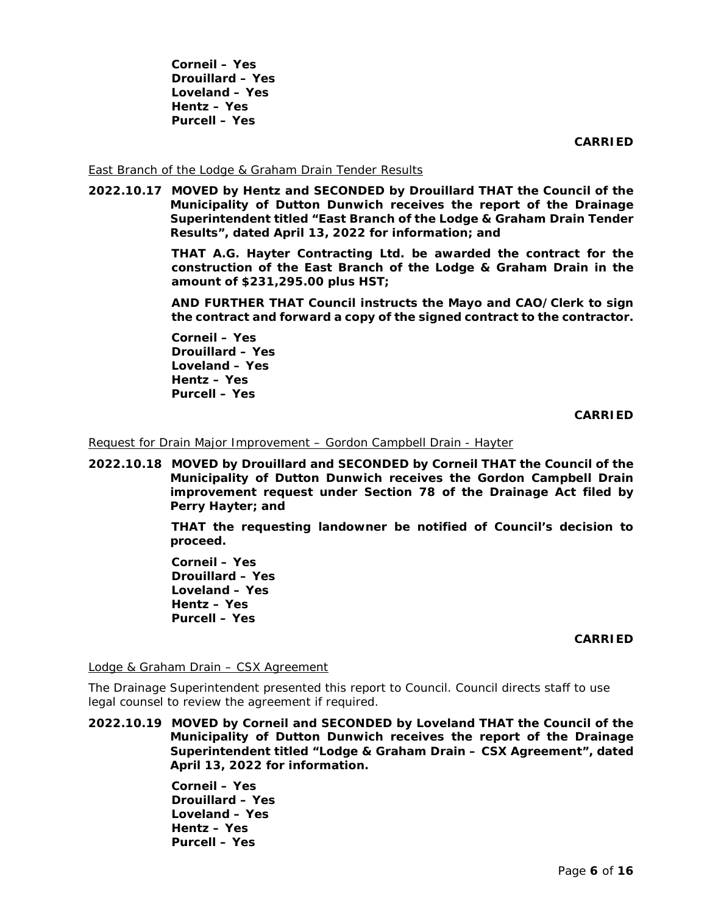**Corneil – Yes Drouillard – Yes Loveland – Yes Hentz – Yes Purcell – Yes** 

**CARRIED**

#### East Branch of the Lodge & Graham Drain Tender Results

**2022.10.17 MOVED by Hentz and SECONDED by Drouillard THAT the Council of the Municipality of Dutton Dunwich receives the report of the Drainage Superintendent titled "East Branch of the Lodge & Graham Drain Tender Results", dated April 13, 2022 for information; and**

> **THAT A.G. Hayter Contracting Ltd. be awarded the contract for the construction of the East Branch of the Lodge & Graham Drain in the amount of \$231,295.00 plus HST;**

> **AND FURTHER THAT Council instructs the Mayo and CAO/Clerk to sign the contract and forward a copy of the signed contract to the contractor.**

**Corneil – Yes Drouillard – Yes Loveland – Yes Hentz – Yes Purcell – Yes** 

**CARRIED**

Request for Drain Major Improvement – Gordon Campbell Drain - Hayter

**2022.10.18 MOVED by Drouillard and SECONDED by Corneil THAT the Council of the Municipality of Dutton Dunwich receives the Gordon Campbell Drain improvement request under Section 78 of the Drainage Act filed by Perry Hayter; and**

> **THAT the requesting landowner be notified of Council's decision to proceed.**

**Corneil – Yes Drouillard – Yes Loveland – Yes Hentz – Yes Purcell – Yes** 

#### **CARRIED**

Lodge & Graham Drain – CSX Agreement

The Drainage Superintendent presented this report to Council. Council directs staff to use legal counsel to review the agreement if required.

**2022.10.19 MOVED by Corneil and SECONDED by Loveland THAT the Council of the Municipality of Dutton Dunwich receives the report of the Drainage Superintendent titled "Lodge & Graham Drain – CSX Agreement", dated April 13, 2022 for information.** 

> **Corneil – Yes Drouillard – Yes Loveland – Yes Hentz – Yes Purcell – Yes**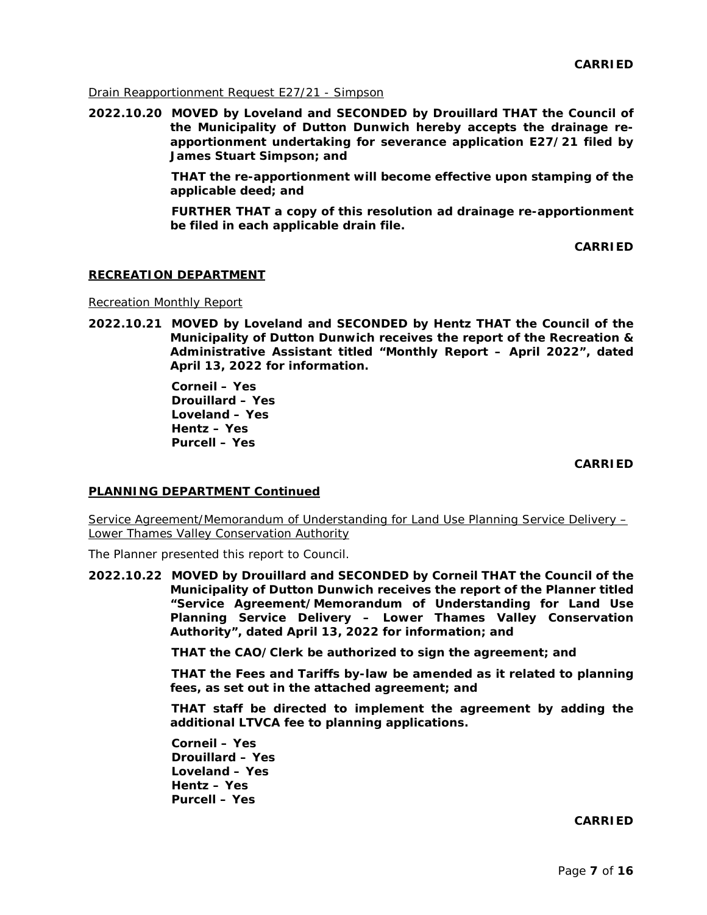Drain Reapportionment Request E27/21 - Simpson

**2022.10.20 MOVED by Loveland and SECONDED by Drouillard THAT the Council of the Municipality of Dutton Dunwich hereby accepts the drainage reapportionment undertaking for severance application E27/21 filed by James Stuart Simpson; and**

> **THAT the re-apportionment will become effective upon stamping of the applicable deed; and**

> **FURTHER THAT a copy of this resolution ad drainage re-apportionment be filed in each applicable drain file.**

> > **CARRIED**

#### **RECREATION DEPARTMENT**

Recreation Monthly Report

**2022.10.21 MOVED by Loveland and SECONDED by Hentz THAT the Council of the Municipality of Dutton Dunwich receives the report of the Recreation & Administrative Assistant titled "Monthly Report – April 2022", dated April 13, 2022 for information.** 

> **Corneil – Yes Drouillard – Yes Loveland – Yes Hentz – Yes Purcell – Yes**

> > **CARRIED**

## **PLANNING DEPARTMENT Continued**

Service Agreement/Memorandum of Understanding for Land Use Planning Service Delivery – Lower Thames Valley Conservation Authority

The Planner presented this report to Council.

**2022.10.22 MOVED by Drouillard and SECONDED by Corneil THAT the Council of the Municipality of Dutton Dunwich receives the report of the Planner titled "Service Agreement/Memorandum of Understanding for Land Use Planning Service Delivery – Lower Thames Valley Conservation Authority", dated April 13, 2022 for information; and**

**THAT the CAO/Clerk be authorized to sign the agreement; and**

**THAT the Fees and Tariffs by-law be amended as it related to planning fees, as set out in the attached agreement; and**

**THAT staff be directed to implement the agreement by adding the additional LTVCA fee to planning applications.** 

**Corneil – Yes Drouillard – Yes Loveland – Yes Hentz – Yes Purcell – Yes** 

**CARRIED**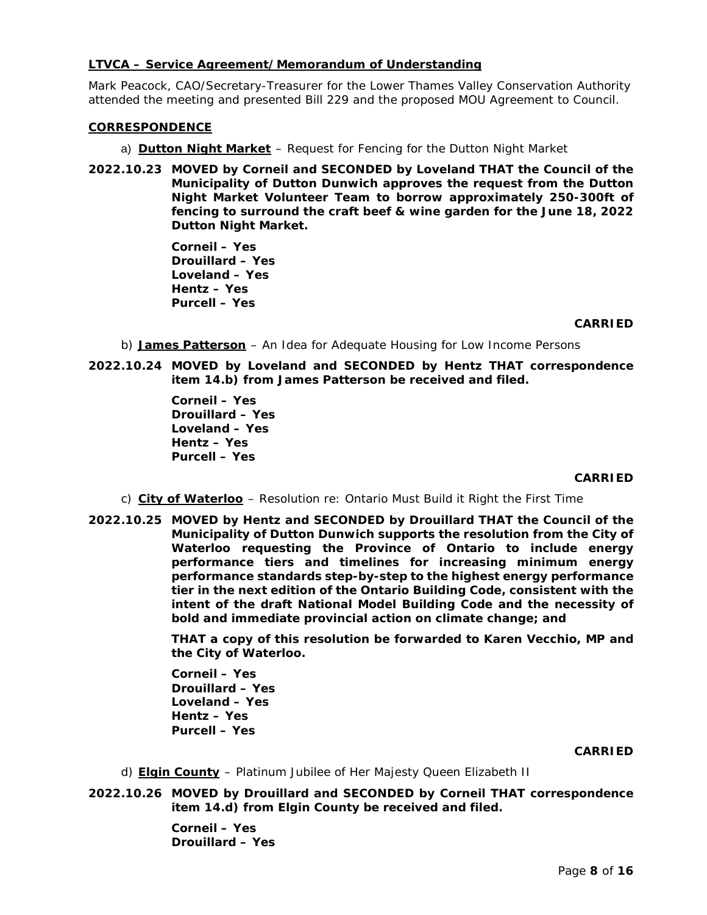## **LTVCA – Service Agreement/Memorandum of Understanding**

Mark Peacock, CAO/Secretary-Treasurer for the Lower Thames Valley Conservation Authority attended the meeting and presented Bill 229 and the proposed MOU Agreement to Council.

# **CORRESPONDENCE**

- a) Dutton Night Market Request for Fencing for the Dutton Night Market
- **2022.10.23 MOVED by Corneil and SECONDED by Loveland THAT the Council of the Municipality of Dutton Dunwich approves the request from the Dutton Night Market Volunteer Team to borrow approximately 250-300ft of fencing to surround the craft beef & wine garden for the June 18, 2022 Dutton Night Market.**

**Corneil – Yes Drouillard – Yes Loveland – Yes Hentz – Yes Purcell – Yes** 

## **CARRIED**

- b) **James Patterson** An Idea for Adequate Housing for Low Income Persons
- **2022.10.24 MOVED by Loveland and SECONDED by Hentz THAT correspondence item 14.b) from James Patterson be received and filed.**

**Corneil – Yes Drouillard – Yes Loveland – Yes Hentz – Yes Purcell – Yes** 

## **CARRIED**

- c) City of Waterloo Resolution re: Ontario Must Build it Right the First Time
- **2022.10.25 MOVED by Hentz and SECONDED by Drouillard THAT the Council of the Municipality of Dutton Dunwich supports the resolution from the City of Waterloo requesting the Province of Ontario to include energy performance tiers and timelines for increasing minimum energy performance standards step-by-step to the highest energy performance tier in the next edition of the Ontario Building Code, consistent with the intent of the draft National Model Building Code and the necessity of bold and immediate provincial action on climate change; and**

**THAT a copy of this resolution be forwarded to Karen Vecchio, MP and the City of Waterloo.** 

**Corneil – Yes Drouillard – Yes Loveland – Yes Hentz – Yes Purcell – Yes** 

## **CARRIED**

- d) **Elgin County** Platinum Jubilee of Her Majesty Queen Elizabeth II
- **2022.10.26 MOVED by Drouillard and SECONDED by Corneil THAT correspondence item 14.d) from Elgin County be received and filed.**

**Corneil – Yes Drouillard – Yes**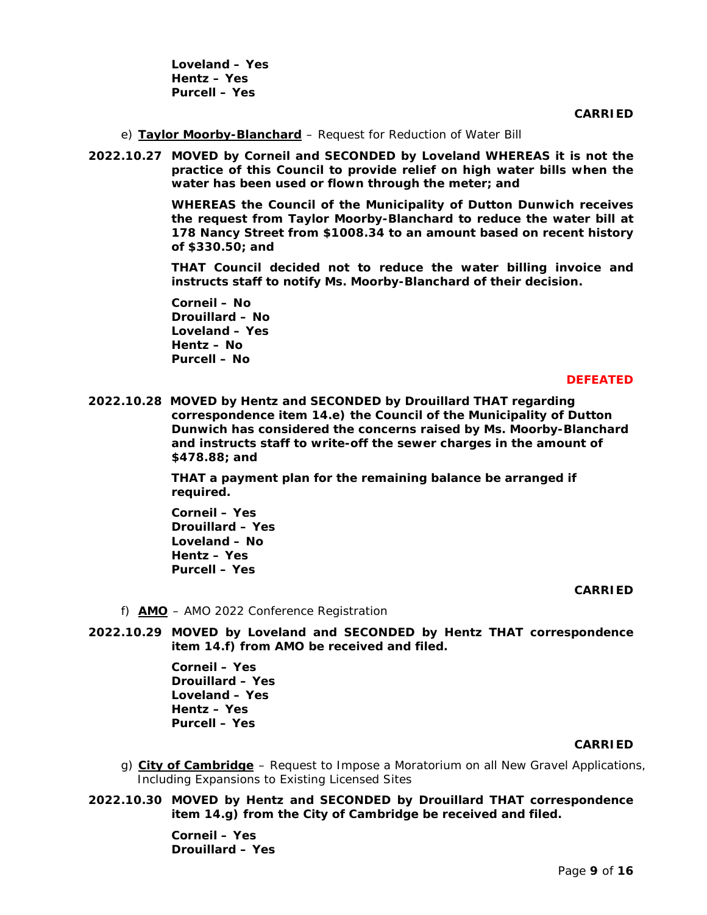**Loveland – Yes Hentz – Yes Purcell – Yes** 

**CARRIED**

- e) Taylor Moorby-Blanchard Request for Reduction of Water Bill
- **2022.10.27 MOVED by Corneil and SECONDED by Loveland WHEREAS it is not the practice of this Council to provide relief on high water bills when the water has been used or flown through the meter; and**

**WHEREAS the Council of the Municipality of Dutton Dunwich receives the request from Taylor Moorby-Blanchard to reduce the water bill at 178 Nancy Street from \$1008.34 to an amount based on recent history of \$330.50; and**

**THAT Council decided not to reduce the water billing invoice and instructs staff to notify Ms. Moorby-Blanchard of their decision.** 

**Corneil – No Drouillard – No Loveland – Yes Hentz – No Purcell – No** 

#### **DEFEATED**

**2022.10.28 MOVED by Hentz and SECONDED by Drouillard THAT regarding correspondence item 14.e) the Council of the Municipality of Dutton Dunwich has considered the concerns raised by Ms. Moorby-Blanchard and instructs staff to write-off the sewer charges in the amount of \$478.88; and**

> **THAT a payment plan for the remaining balance be arranged if required.**

**Corneil – Yes Drouillard – Yes Loveland – No Hentz – Yes Purcell – Yes** 

## **CARRIED**

f) **AMO** – AMO 2022 Conference Registration

**2022.10.29 MOVED by Loveland and SECONDED by Hentz THAT correspondence item 14.f) from AMO be received and filed.** 

> **Corneil – Yes Drouillard – Yes Loveland – Yes Hentz – Yes Purcell – Yes**

#### **CARRIED**

- g) City of Cambridge Request to Impose a Moratorium on all New Gravel Applications, Including Expansions to Existing Licensed Sites
- **2022.10.30 MOVED by Hentz and SECONDED by Drouillard THAT correspondence item 14.g) from the City of Cambridge be received and filed.**

**Corneil – Yes Drouillard – Yes**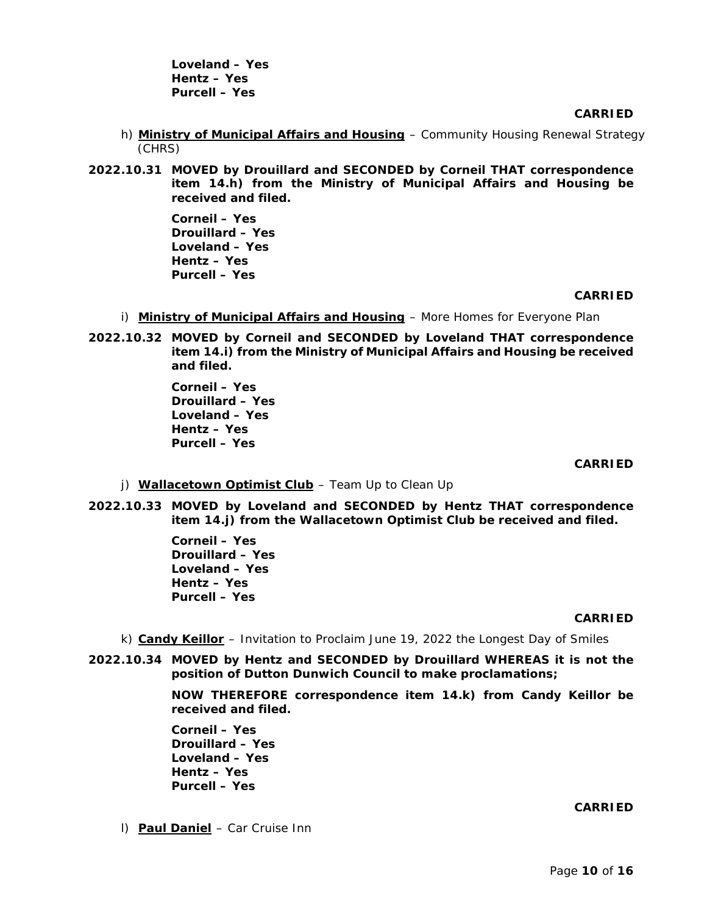**Loveland – Yes Hentz – Yes Purcell – Yes** 

**CARRIED**

- h) Ministry of Municipal Affairs and Housing Community Housing Renewal Strategy (CHRS)
- **2022.10.31 MOVED by Drouillard and SECONDED by Corneil THAT correspondence item 14.h) from the Ministry of Municipal Affairs and Housing be received and filed.**

**Corneil – Yes Drouillard – Yes Loveland – Yes Hentz – Yes Purcell – Yes** 

## **CARRIED**

- i) Ministry of Municipal Affairs and Housing More Homes for Everyone Plan
- **2022.10.32 MOVED by Corneil and SECONDED by Loveland THAT correspondence item 14.i) from the Ministry of Municipal Affairs and Housing be received and filed.**

**Corneil – Yes Drouillard – Yes Loveland – Yes Hentz – Yes Purcell – Yes** 

## **CARRIED**

- j) **Wallacetown Optimist Club** Team Up to Clean Up
- **2022.10.33 MOVED by Loveland and SECONDED by Hentz THAT correspondence item 14.j) from the Wallacetown Optimist Club be received and filed.**

**Corneil – Yes Drouillard – Yes Loveland – Yes Hentz – Yes Purcell – Yes** 

#### **CARRIED**

- k) **Candy Keillor** Invitation to Proclaim June 19, 2022 the Longest Day of Smiles
- **2022.10.34 MOVED by Hentz and SECONDED by Drouillard WHEREAS it is not the position of Dutton Dunwich Council to make proclamations;**

**NOW THEREFORE correspondence item 14.k) from Candy Keillor be received and filed.** 

**Corneil – Yes Drouillard – Yes Loveland – Yes Hentz – Yes Purcell – Yes** 

## **CARRIED**

l) **Paul Daniel** – Car Cruise Inn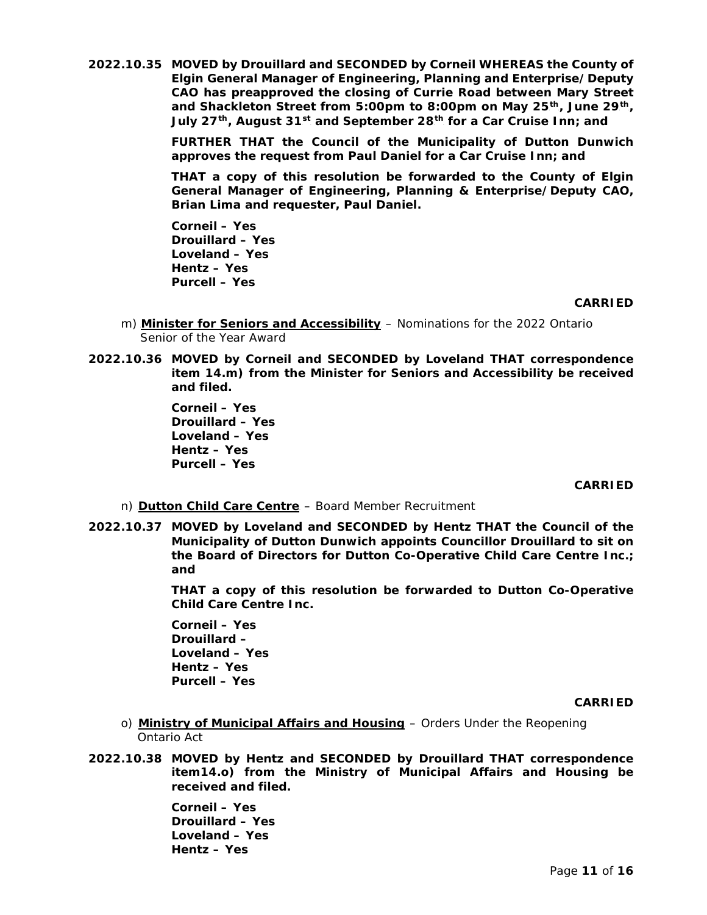**2022.10.35 MOVED by Drouillard and SECONDED by Corneil WHEREAS the County of Elgin General Manager of Engineering, Planning and Enterprise/Deputy CAO has preapproved the closing of Currie Road between Mary Street**  and Shackleton Street from 5:00pm to 8:00pm on May 25<sup>th</sup>, June 29<sup>th</sup>, **July 27<sup>th</sup>, August 31<sup>st</sup> and September 28<sup>th</sup> for a Car Cruise Inn; and** 

> **FURTHER THAT the Council of the Municipality of Dutton Dunwich approves the request from Paul Daniel for a Car Cruise Inn; and**

> **THAT a copy of this resolution be forwarded to the County of Elgin General Manager of Engineering, Planning & Enterprise/Deputy CAO, Brian Lima and requester, Paul Daniel.**

**Corneil – Yes Drouillard – Yes Loveland – Yes Hentz – Yes Purcell – Yes** 

## **CARRIED**

- m) **Minister for Seniors and Accessibility** Nominations for the 2022 Ontario Senior of the Year Award
- **2022.10.36 MOVED by Corneil and SECONDED by Loveland THAT correspondence item 14.m) from the Minister for Seniors and Accessibility be received and filed.**

**Corneil – Yes Drouillard – Yes Loveland – Yes Hentz – Yes Purcell – Yes** 

## **CARRIED**

## n) **Dutton Child Care Centre** – Board Member Recruitment

**2022.10.37 MOVED by Loveland and SECONDED by Hentz THAT the Council of the Municipality of Dutton Dunwich appoints Councillor Drouillard to sit on the Board of Directors for Dutton Co-Operative Child Care Centre Inc.; and**

> **THAT a copy of this resolution be forwarded to Dutton Co-Operative Child Care Centre Inc.**

**Corneil – Yes Drouillard – Loveland – Yes Hentz – Yes Purcell – Yes** 

#### **CARRIED**

- o) **Ministry of Municipal Affairs and Housing** Orders Under the Reopening Ontario Act
- **2022.10.38 MOVED by Hentz and SECONDED by Drouillard THAT correspondence item14.o) from the Ministry of Municipal Affairs and Housing be received and filed.**

**Corneil – Yes Drouillard – Yes Loveland – Yes Hentz – Yes**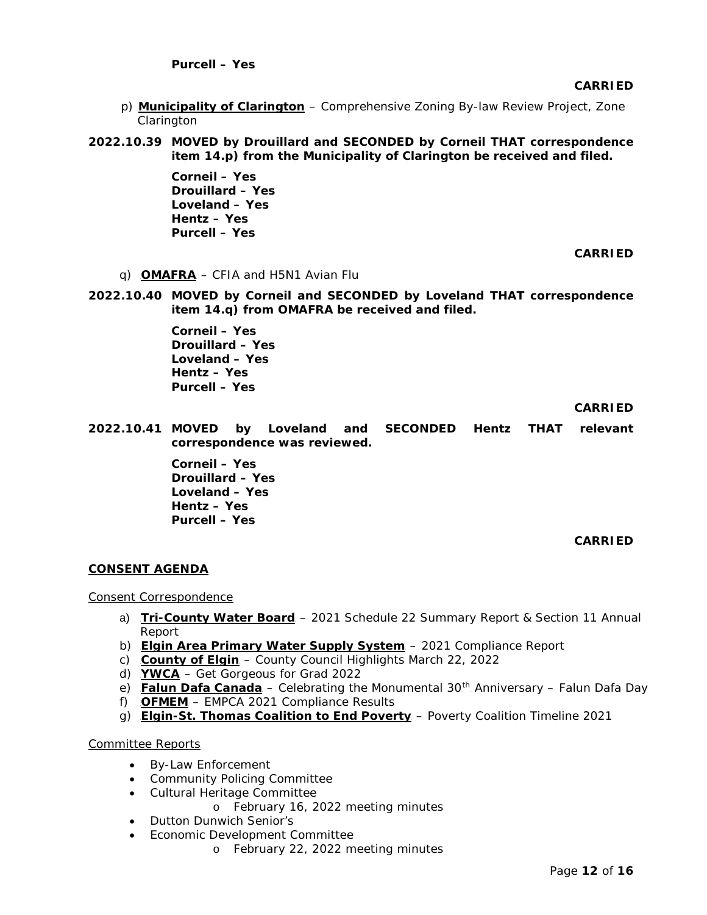**CARRIED**

- p) **Municipality of Clarington** Comprehensive Zoning By-law Review Project, Zone Clarington
- **2022.10.39 MOVED by Drouillard and SECONDED by Corneil THAT correspondence item 14.p) from the Municipality of Clarington be received and filed.**

**Corneil – Yes Drouillard – Yes Loveland – Yes Hentz – Yes Purcell – Yes** 

**CARRIED**

- q) **OMAFRA** CFIA and H5N1 Avian Flu
- **2022.10.40 MOVED by Corneil and SECONDED by Loveland THAT correspondence item 14.q) from OMAFRA be received and filed.**

**Corneil – Yes Drouillard – Yes Loveland – Yes Hentz – Yes Purcell – Yes** 

**CARRIED**

**2022.10.41 MOVED by Loveland and SECONDED Hentz THAT relevant correspondence was reviewed.**

> **Corneil – Yes Drouillard – Yes Loveland – Yes Hentz – Yes Purcell – Yes**

> > **CARRIED**

## **CONSENT AGENDA**

Consent Correspondence

- a) **Tri-County Water Board** 2021 Schedule 22 Summary Report & Section 11 Annual Report
- b) **Elgin Area Primary Water Supply System** 2021 Compliance Report
- c) **County of Elgin** County Council Highlights March 22, 2022
- d) **YWCA** Get Gorgeous for Grad 2022
- e) Falun Dafa Canada Celebrating the Monumental 30<sup>th</sup> Anniversary Falun Dafa Day
- f) OFMEM EMPCA 2021 Compliance Results
- g) Elgin-St. Thomas Coalition to End Poverty Poverty Coalition Timeline 2021

# Committee Reports

- By-Law Enforcement
- Community Policing Committee
- Cultural Heritage Committee
	- o February 16, 2022 meeting minutes
- Dutton Dunwich Senior's
- Economic Development Committee
	- o February 22, 2022 meeting minutes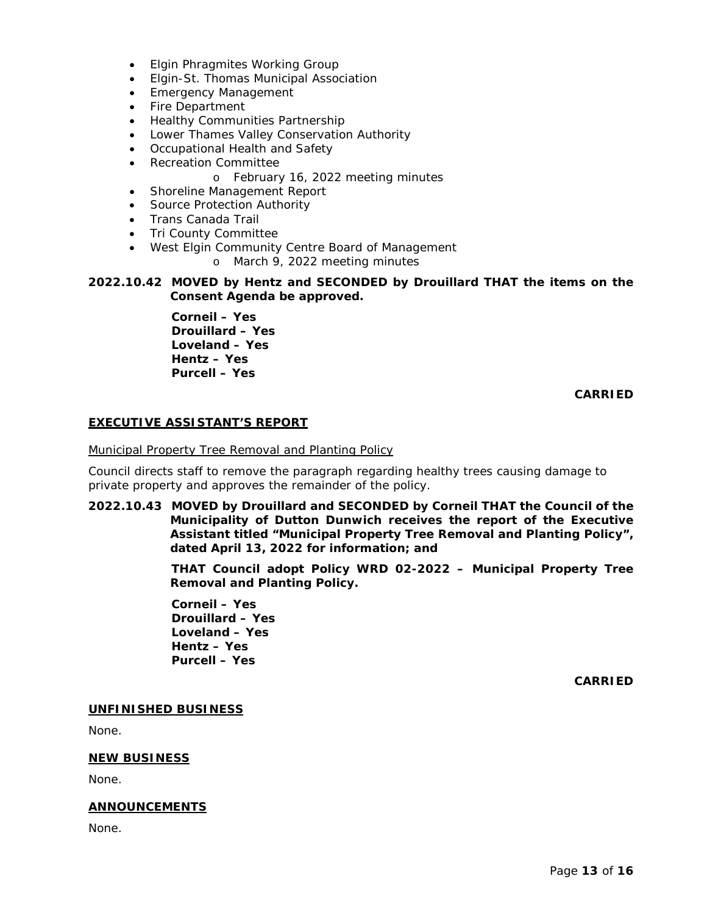- Elgin Phragmites Working Group
- Elgin-St. Thomas Municipal Association
- Emergency Management
- Fire Department
- Healthy Communities Partnership
- Lower Thames Valley Conservation Authority
- Occupational Health and Safety
- Recreation Committee
	- o February 16, 2022 meeting minutes
- Shoreline Management Report
- Source Protection Authority
- Trans Canada Trail
- Tri County Committee
- West Elgin Community Centre Board of Management
	- o March 9, 2022 meeting minutes

## **2022.10.42 MOVED by Hentz and SECONDED by Drouillard THAT the items on the Consent Agenda be approved.**

**Corneil – Yes Drouillard – Yes Loveland – Yes Hentz – Yes Purcell – Yes** 

## **CARRIED**

# **EXECUTIVE ASSISTANT'S REPORT**

## Municipal Property Tree Removal and Planting Policy

Council directs staff to remove the paragraph regarding healthy trees causing damage to private property and approves the remainder of the policy.

**2022.10.43 MOVED by Drouillard and SECONDED by Corneil THAT the Council of the Municipality of Dutton Dunwich receives the report of the Executive Assistant titled "Municipal Property Tree Removal and Planting Policy", dated April 13, 2022 for information; and**

> **THAT Council adopt Policy WRD 02-2022 – Municipal Property Tree Removal and Planting Policy.**

**Corneil – Yes Drouillard – Yes Loveland – Yes Hentz – Yes Purcell – Yes** 

**CARRIED**

# **UNFINISHED BUSINESS**

None.

## **NEW BUSINESS**

None.

## **ANNOUNCEMENTS**

None.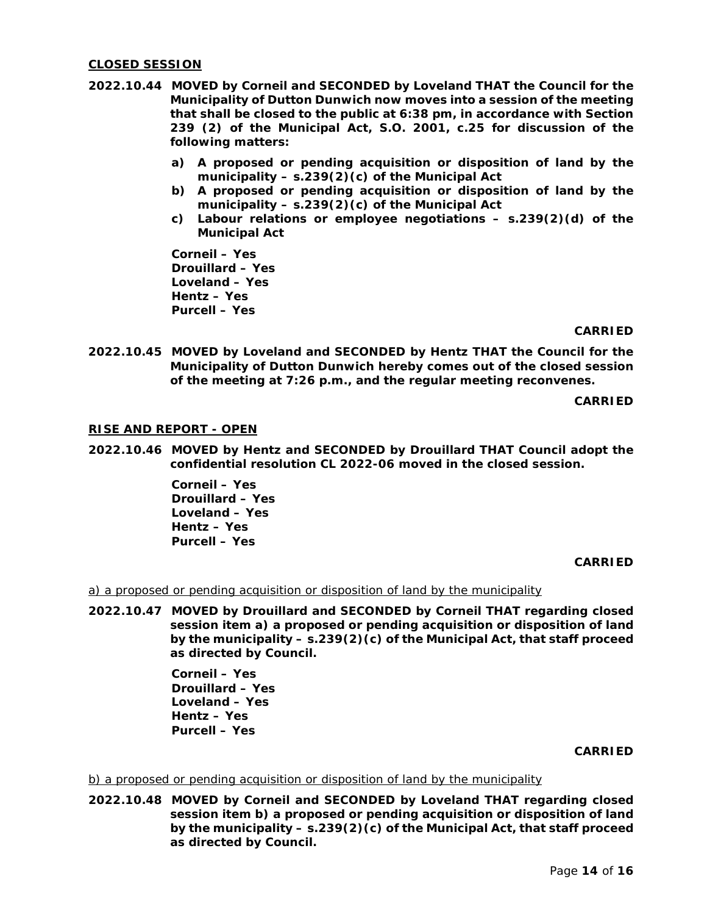#### **CLOSED SESSION**

- **2022.10.44 MOVED by Corneil and SECONDED by Loveland THAT the Council for the Municipality of Dutton Dunwich now moves into a session of the meeting that shall be closed to the public at 6:38 pm, in accordance with Section 239 (2) of the Municipal Act, S.O. 2001, c.25 for discussion of the following matters:**
	- **a) A proposed or pending acquisition or disposition of land by the municipality – s.239(2)(c) of the Municipal Act**
	- **b) A proposed or pending acquisition or disposition of land by the municipality – s.239(2)(c) of the Municipal Act**
	- **c) Labour relations or employee negotiations – s.239(2)(d) of the Municipal Act**

**Corneil – Yes Drouillard – Yes Loveland – Yes Hentz – Yes Purcell – Yes** 

#### **CARRIED**

**2022.10.45 MOVED by Loveland and SECONDED by Hentz THAT the Council for the Municipality of Dutton Dunwich hereby comes out of the closed session of the meeting at 7:26 p.m., and the regular meeting reconvenes.**

**CARRIED**

#### **RISE AND REPORT - OPEN**

**2022.10.46 MOVED by Hentz and SECONDED by Drouillard THAT Council adopt the confidential resolution CL 2022-06 moved in the closed session.**

> **Corneil – Yes Drouillard – Yes Loveland – Yes Hentz – Yes Purcell – Yes**

> > **CARRIED**

a) a proposed or pending acquisition or disposition of land by the municipality

**2022.10.47 MOVED by Drouillard and SECONDED by Corneil THAT regarding closed session item a) a proposed or pending acquisition or disposition of land by the municipality – s.239(2)(c) of the Municipal Act, that staff proceed as directed by Council.**

> **Corneil – Yes Drouillard – Yes Loveland – Yes Hentz – Yes Purcell – Yes**

> > **CARRIED**

#### b) a proposed or pending acquisition or disposition of land by the municipality

**2022.10.48 MOVED by Corneil and SECONDED by Loveland THAT regarding closed session item b) a proposed or pending acquisition or disposition of land by the municipality – s.239(2)(c) of the Municipal Act, that staff proceed as directed by Council.**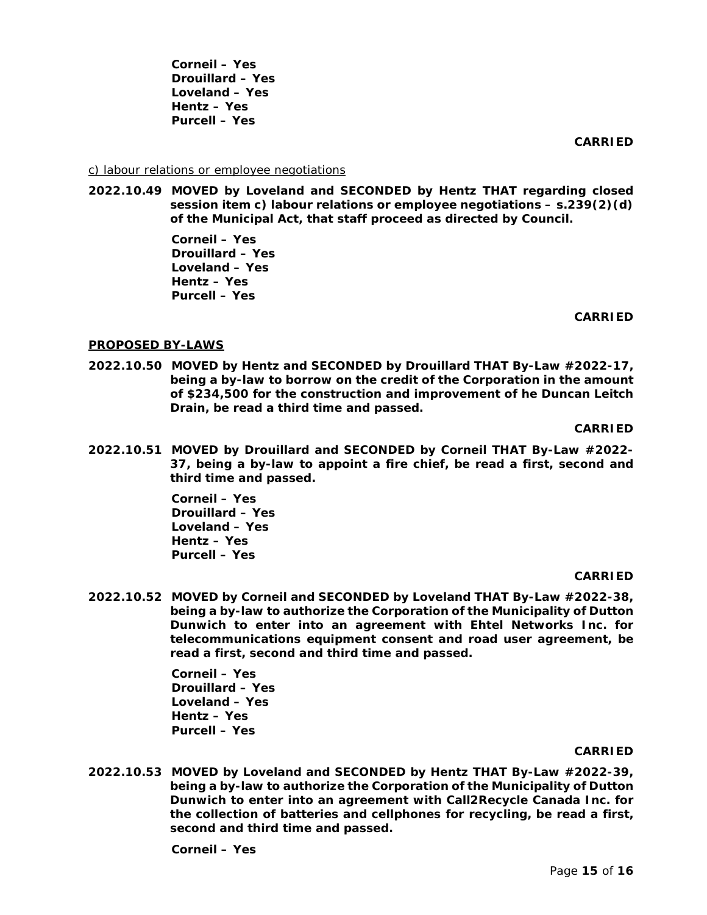**Corneil – Yes Drouillard – Yes Loveland – Yes Hentz – Yes Purcell – Yes** 

**CARRIED**

#### c) labour relations or employee negotiations

**2022.10.49 MOVED by Loveland and SECONDED by Hentz THAT regarding closed session item c) labour relations or employee negotiations – s.239(2)(d) of the Municipal Act, that staff proceed as directed by Council.**

> **Corneil – Yes Drouillard – Yes Loveland – Yes Hentz – Yes Purcell – Yes**

> > **CARRIED**

## **PROPOSED BY-LAWS**

**2022.10.50 MOVED by Hentz and SECONDED by Drouillard THAT By-Law #2022-17, being a by-law to borrow on the credit of the Corporation in the amount of \$234,500 for the construction and improvement of he Duncan Leitch Drain, be read a third time and passed.**

**CARRIED**

**2022.10.51 MOVED by Drouillard and SECONDED by Corneil THAT By-Law #2022- 37, being a by-law to appoint a fire chief, be read a first, second and third time and passed.**

> **Corneil – Yes Drouillard – Yes Loveland – Yes Hentz – Yes Purcell – Yes**

#### **CARRIED**

**2022.10.52 MOVED by Corneil and SECONDED by Loveland THAT By-Law #2022-38, being a by-law to authorize the Corporation of the Municipality of Dutton Dunwich to enter into an agreement with Ehtel Networks Inc. for telecommunications equipment consent and road user agreement, be read a first, second and third time and passed.**

> **Corneil – Yes Drouillard – Yes Loveland – Yes Hentz – Yes Purcell – Yes**

#### **CARRIED**

**2022.10.53 MOVED by Loveland and SECONDED by Hentz THAT By-Law #2022-39, being a by-law to authorize the Corporation of the Municipality of Dutton Dunwich to enter into an agreement with Call2Recycle Canada Inc. for the collection of batteries and cellphones for recycling, be read a first, second and third time and passed.**

**Corneil – Yes**